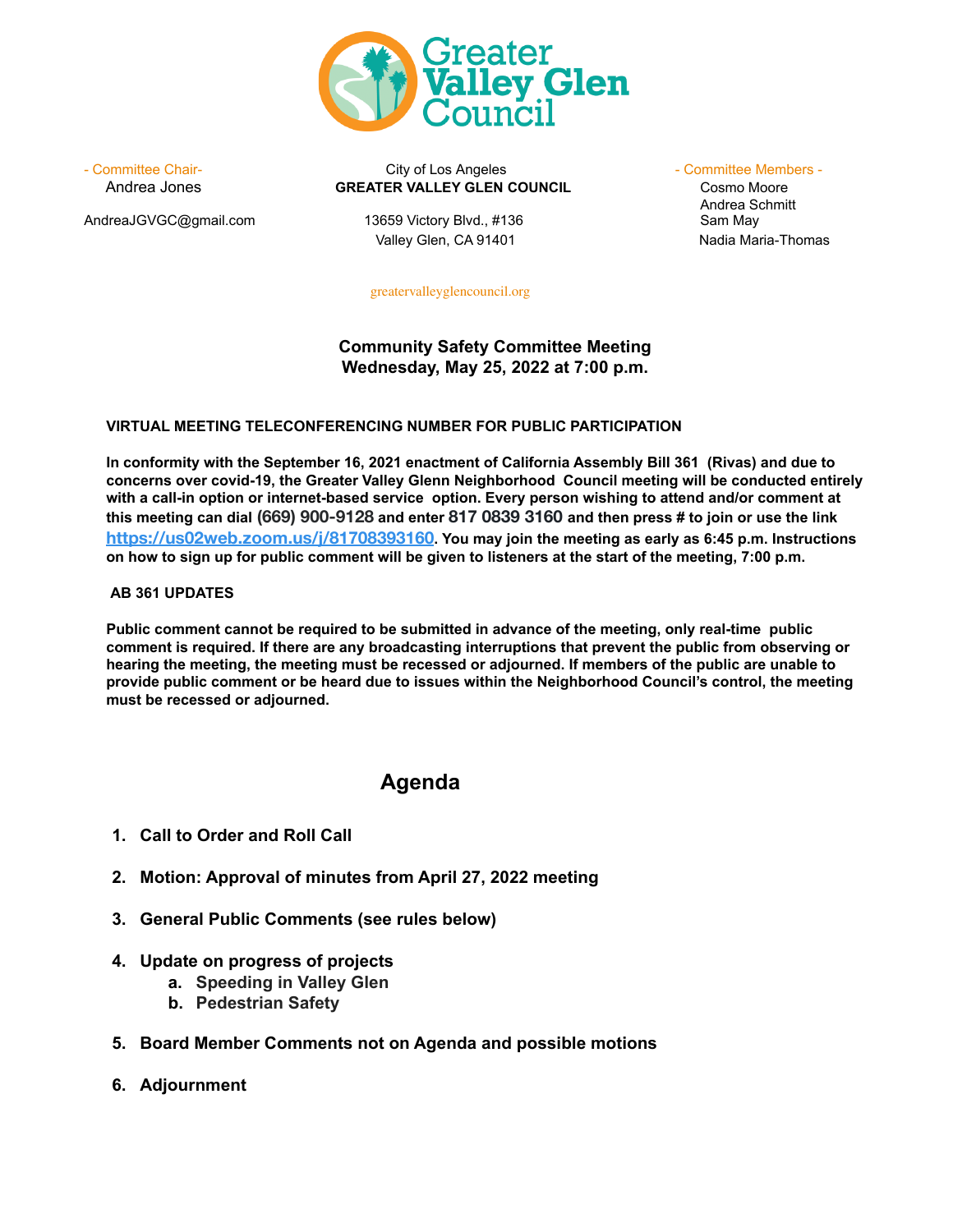

AndreaJGVGC@gmail.com 13659 Victory Blvd., #136 Sam May

- Committee Chair- **City of Los Angeles** - Committee Members - Committee Members -Andrea Jones **GREATER VALLEY GLEN COUNCIL** Cosmo Moore

Valley Glen, CA 91401 Nadia Maria-Thomas

Andrea Schmitt

[greatervalleyglencouncil.org](http://www.greatervalleyglencouncil.org/)

## **Community Safety Committee Meeting Wednesday, May 25, 2022 at 7:00 p.m.**

### **VIRTUAL MEETING TELECONFERENCING NUMBER FOR PUBLIC PARTICIPATION**

**In conformity with the September 16, 2021 enactment of California Assembly Bill 361 (Rivas) and due to concerns over covid-19, the Greater Valley Glenn Neighborhood Council meeting will be conducted entirely with a call-in option or internet-based service option. Every person wishing to attend and/or comment at** this meeting can dial (669) 900-9128 and enter 817 0839 3160 and then press # to join or use the link **<https://us02web.zoom.us/j/81708393160>. You may join the meeting as early as 6:45 p.m. Instructions** on how to sign up for public comment will be given to listeners at the start of the meeting, 7:00 p.m.

#### **AB 361 UPDATES**

**Public comment cannot be required to be submitted in advance of the meeting, only real-time public comment is required. If there are any broadcasting interruptions that prevent the public from observing or** hearing the meeting, the meeting must be recessed or adjourned. If members of the public are unable to **provide public comment or be heard due to issues within the Neighborhood Council's control, the meeting must be recessed or adjourned.**

# **Agenda**

- **1. Call to Order and Roll Call**
- **2. Motion: Approval of minutes from April 27, 2022 meeting**
- **3. General Public Comments (see rules below)**
- **4. Update on progress of projects**
	- **a. Speeding in Valley Glen**
	- **b. Pedestrian Safety**
- **5. Board Member Comments not on Agenda and possible motions**
- **6. Adjournment**